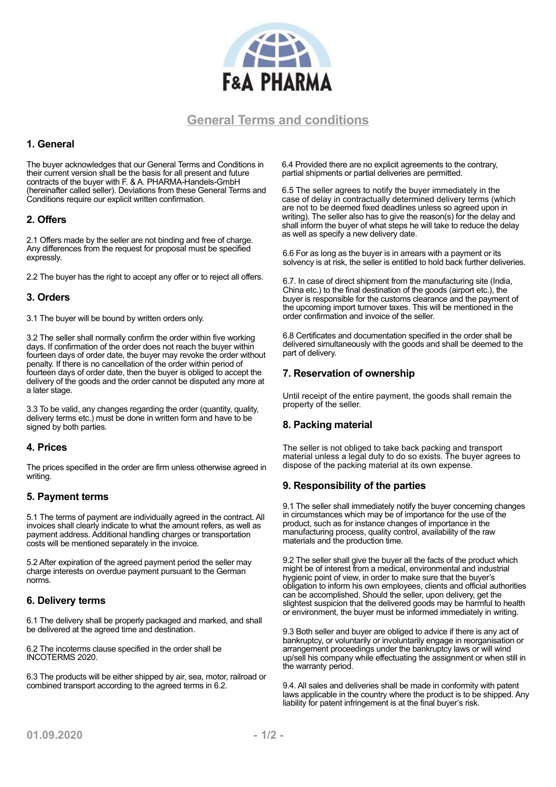

# **General Terms and conditions**

## **1. General**

The buyer acknowledges that our General Terms and Conditions in their current version shall be the basis for all present and future contracts of the buyer with F. & A. PHARMA-Handels-GmbH (hereinafter called seller). Deviations from these General Terms and Conditions require our explicit written confirmation.

## **2. Offers**

2.1 Offers made by the seller are not binding and free of charge. Any differences from the request for proposal must be specified expressly.

2.2 The buyer has the right to accept any offer or to reject all offers.

#### **3. Orders**

3.1 The buyer will be bound by written orders only.

3.2 The seller shall normally confirm the order within five working days. If confirmation of the order does not reach the buyer within fourteen days of order date, the buyer may revoke the order without penalty. If there is no cancellation of the order within period of fourteen days of order date, then the buyer is obliged to accept the delivery of the goods and the order cannot be disputed any more at a later stage.

3.3 To be valid, any changes regarding the order (quantity, quality, delivery terms etc.) must be done in written form and have to be signed by both parties.

#### **4. Prices**

The prices specified in the order are firm unless otherwise agreed in writing.

#### **5. Payment terms**

5.1 The terms of payment are individually agreed in the contract. All invoices shall clearly indicate to what the amount refers, as well as payment address. Additional handling charges or transportation costs will be mentioned separately in the invoice.

5.2 After expiration of the agreed payment period the seller may charge interests on overdue payment pursuant to the German norms.

# **6. Delivery terms**

6.1 The delivery shall be properly packaged and marked, and shall be delivered at the agreed time and destination.

6.2 The incoterms clause specified in the order shall be INCOTERMS 2020.

6.3 The products will be either shipped by air, sea, motor, railroad or combined transport according to the agreed terms in 6.2.

6.4 Provided there are no explicit agreements to the contrary, partial shipments or partial deliveries are permitted.

6.5 The seller agrees to notify the buyer immediately in the case of delay in contractually determined delivery terms (which are not to be deemed fixed deadlines unless so agreed upon in writing). The seller also has to give the reason(s) for the delay and shall inform the buyer of what steps he will take to reduce the delay as well as specify a new delivery date.

6.6 For as long as the buyer is in arrears with a payment or its solvency is at risk, the seller is entitled to hold back further deliveries.

6.7. In case of direct shipment from the manufacturing site (India, China etc.) to the final destination of the goods (airport etc.), the buyer is responsible for the customs clearance and the payment of the upcoming import turnover taxes. This will be mentioned in the order confirmation and invoice of the seller.

6.8 Certificates and documentation specified in the order shall be delivered simultaneously with the goods and shall be deemed to the part of delivery.

## **7. Reservation of ownership**

Until receipt of the entire payment, the goods shall remain the property of the seller.

#### **8. Packing material**

The seller is not obliged to take back packing and transport material unless a legal duty to do so exists. The buyer agrees to dispose of the packing material at its own expense.

#### **9. Responsibility of the parties**

9.1 The seller shall immediately notify the buyer concerning changes in circumstances which may be of importance for the use of the product, such as for instance changes of importance in the manufacturing process, quality control, availability of the raw materials and the production time.

9.2 The seller shall give the buyer all the facts of the product which might be of interest from a medical, environmental and industrial hygienic point of view, in order to make sure that the buyer's obligation to inform his own employees, clients and official authorities can be accomplished. Should the seller, upon delivery, get the slightest suspicion that the delivered goods may be harmful to health or environment, the buyer must be informed immediately in writing.

9.3 Both seller and buyer are obliged to advice if there is any act of bankruptcy, or voluntarily or involuntarily engage in reorganisation or arrangement proceedings under the bankruptcy laws or will wind up/sell his company while effectuating the assignment or when still in the warranty period.

9.4. All sales and deliveries shall be made in conformity with patent laws applicable in the country where the product is to be shipped. Any liability for patent infringement is at the final buyer's risk.